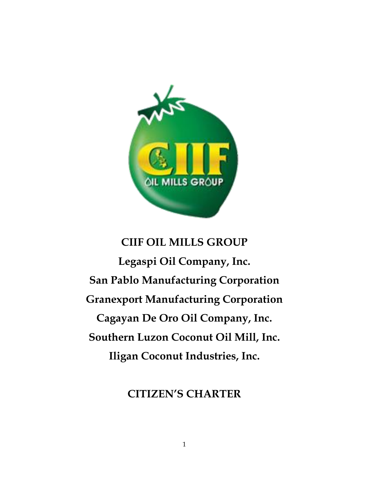

# **CIIF OIL MILLS GROUP**

**Legaspi Oil Company, Inc. San Pablo Manufacturing Corporation Granexport Manufacturing Corporation Cagayan De Oro Oil Company, Inc. Southern Luzon Coconut Oil Mill, Inc. Iligan Coconut Industries, Inc.**

# **CITIZEN'S CHARTER**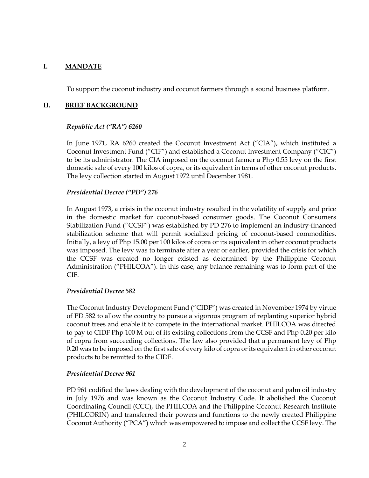#### **I. MANDATE**

To support the coconut industry and coconut farmers through a sound business platform.

#### **II. BRIEF BACKGROUND**

#### *Republic Act ("RA") 6260*

In June 1971, RA 6260 created the Coconut Investment Act ("CIA"), which instituted a Coconut Investment Fund ("CIF") and established a Coconut Investment Company ("CIC") to be its administrator. The CIA imposed on the coconut farmer a Php 0.55 levy on the first domestic sale of every 100 kilos of copra, or its equivalent in terms of other coconut products. The levy collection started in August 1972 until December 1981.

#### *Presidential Decree ("PD") 276*

In August 1973, a crisis in the coconut industry resulted in the volatility of supply and price in the domestic market for coconut-based consumer goods. The Coconut Consumers Stabilization Fund ("CCSF") was established by PD 276 to implement an industry-financed stabilization scheme that will permit socialized pricing of coconut-based commodities. Initially, a levy of Php 15.00 per 100 kilos of copra or its equivalent in other coconut products was imposed. The levy was to terminate after a year or earlier, provided the crisis for which the CCSF was created no longer existed as determined by the Philippine Coconut Administration ("PHILCOA"). In this case, any balance remaining was to form part of the CIF.

#### *Presidential Decree 582*

The Coconut Industry Development Fund ("CIDF") was created in November 1974 by virtue of PD 582 to allow the country to pursue a vigorous program of replanting superior hybrid coconut trees and enable it to compete in the international market. PHILCOA was directed to pay to CIDF Php 100 M out of its existing collections from the CCSF and Php 0.20 per kilo of copra from succeeding collections. The law also provided that a permanent levy of Php 0.20 was to be imposed on the first sale of every kilo of copra or its equivalent in other coconut products to be remitted to the CIDF.

#### *Presidential Decree 961*

PD 961 codified the laws dealing with the development of the coconut and palm oil industry in July 1976 and was known as the Coconut Industry Code. It abolished the Coconut Coordinating Council (CCC), the PHILCOA and the Philippine Coconut Research Institute (PHILCORIN) and transferred their powers and functions to the newly created Philippine Coconut Authority ("PCA") which was empowered to impose and collect the CCSF levy. The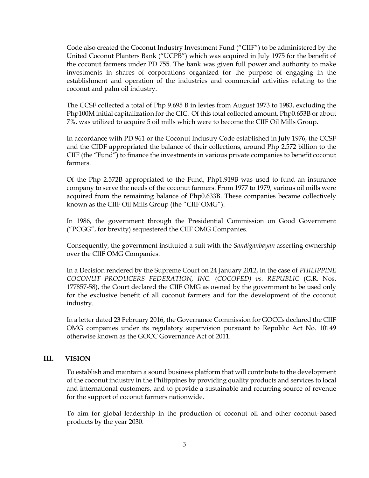Code also created the Coconut Industry Investment Fund ("CIIF") to be administered by the United Coconut Planters Bank ("UCPB") which was acquired in July 1975 for the benefit of the coconut farmers under PD 755. The bank was given full power and authority to make investments in shares of corporations organized for the purpose of engaging in the establishment and operation of the industries and commercial activities relating to the coconut and palm oil industry.

The CCSF collected a total of Php 9.695 B in levies from August 1973 to 1983, excluding the Php100M initial capitalization for the CIC. Of this total collected amount, Php0.653B or about 7%, was utilized to acquire 5 oil mills which were to become the CIIF Oil Mills Group.

In accordance with PD 961 or the Coconut Industry Code established in July 1976, the CCSF and the CIDF appropriated the balance of their collections, around Php 2.572 billion to the CIIF (the "Fund") to finance the investments in various private companies to benefit coconut farmers.

Of the Php 2.572B appropriated to the Fund, Php1.919B was used to fund an insurance company to serve the needs of the coconut farmers. From 1977 to 1979, various oil mills were acquired from the remaining balance of Php0.633B. These companies became collectively known as the CIIF Oil Mills Group (the "CIIF OMG").

In 1986, the government through the Presidential Commission on Good Government ("PCGG", for brevity) sequestered the CIIF OMG Companies.

Consequently, the government instituted a suit with the *Sandiganbayan* asserting ownership over the CIIF OMG Companies.

In a Decision rendered by the Supreme Court on 24 January 2012, in the case of *PHILIPPINE COCONUT PRODUCERS FEDERATION, INC. (COCOFED) vs. REPUBLIC* (G.R. Nos. 177857-58), the Court declared the CIIF OMG as owned by the government to be used only for the exclusive benefit of all coconut farmers and for the development of the coconut industry.

In a letter dated 23 February 2016, the Governance Commission for GOCCs declared the CIIF OMG companies under its regulatory supervision pursuant to Republic Act No. 10149 otherwise known as the GOCC Governance Act of 2011.

## **III. VISION**

To establish and maintain a sound business platform that will contribute to the development of the coconut industry in the Philippines by providing quality products and services to local and international customers, and to provide a sustainable and recurring source of revenue for the support of coconut farmers nationwide.

To aim for global leadership in the production of coconut oil and other coconut-based products by the year 2030.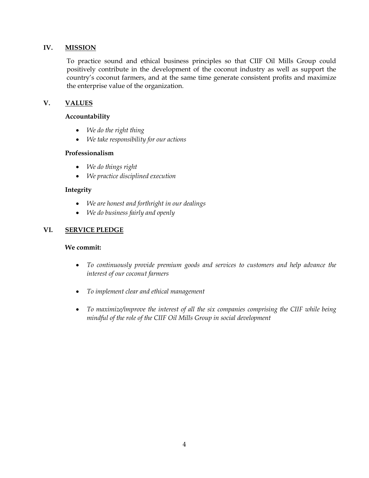## **IV. MISSION**

To practice sound and ethical business principles so that CIIF Oil Mills Group could positively contribute in the development of the coconut industry as well as support the country's coconut farmers, and at the same time generate consistent profits and maximize the enterprise value of the organization.

# **V. VALUES**

## **Accountability**

- *We do the right thing*
- *We take responsibility for our actions*

## **Professionalism**

- *We do things right*
- *We practice disciplined execution*

## **Integrity**

- *We are honest and forthright in our dealings*
- *We do business fairly and openly*

# **VI. SERVICE PLEDGE**

## **We commit:**

- *To continuously provide premium goods and services to customers and help advance the interest of our coconut farmers*
- *To implement clear and ethical management*
- *To maximize/improve the interest of all the six companies comprising the CIIF while being mindful of the role of the CIIF Oil Mills Group in social development*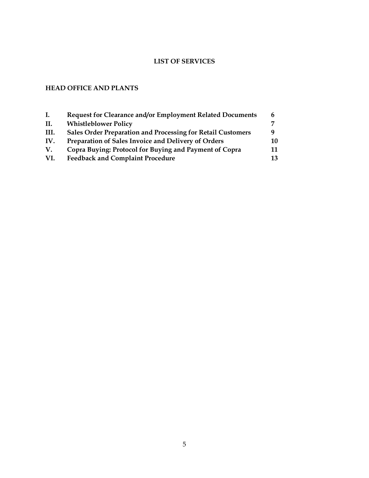# **LIST OF SERVICES**

# **HEAD OFFICE AND PLANTS**

| Ι.   | Request for Clearance and/or Employment Related Documents          |    |
|------|--------------------------------------------------------------------|----|
| II.  | <b>Whistleblower Policy</b>                                        |    |
| III. | <b>Sales Order Preparation and Processing for Retail Customers</b> | a  |
| IV.  | Preparation of Sales Invoice and Delivery of Orders                | 10 |
| V.   | Copra Buying: Protocol for Buying and Payment of Copra             | 11 |
| VI.  | <b>Feedback and Complaint Procedure</b>                            | 13 |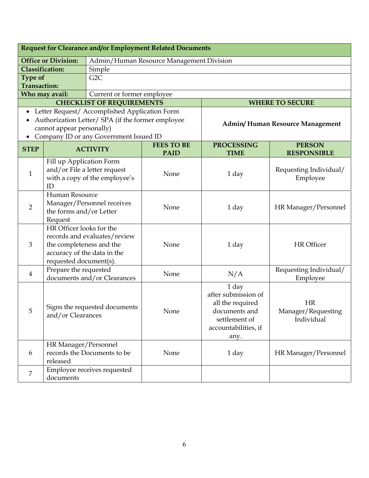| Request for Clearance and/or Employment Related Documents |                                                                                         |                                                   |                   |                      |                                 |
|-----------------------------------------------------------|-----------------------------------------------------------------------------------------|---------------------------------------------------|-------------------|----------------------|---------------------------------|
|                                                           | <b>Office or Division:</b>                                                              | Admin/Human Resource Management Division          |                   |                      |                                 |
| <b>Classification:</b><br>Simple                          |                                                                                         |                                                   |                   |                      |                                 |
| Type of                                                   |                                                                                         | G2C                                               |                   |                      |                                 |
| <b>Transaction:</b>                                       |                                                                                         |                                                   |                   |                      |                                 |
|                                                           | Who may avail:                                                                          | Current or former employee                        |                   |                      |                                 |
|                                                           |                                                                                         | <b>CHECKLIST OF REQUIREMENTS</b>                  |                   |                      | <b>WHERE TO SECURE</b>          |
| $\bullet$                                                 |                                                                                         | Letter Request/ Accomplished Application Form     |                   |                      |                                 |
|                                                           |                                                                                         | Authorization Letter/ SPA (if the former employee |                   |                      | Admin/Human Resource Management |
|                                                           | cannot appear personally)                                                               |                                                   |                   |                      |                                 |
|                                                           |                                                                                         | Company ID or any Government Issued ID            | <b>FEES TO BE</b> | <b>PROCESSING</b>    | <b>PERSON</b>                   |
| <b>STEP</b>                                               |                                                                                         | <b>ACTIVITY</b>                                   | <b>PAID</b>       | <b>TIME</b>          | <b>RESPONSIBLE</b>              |
|                                                           | Fill up Application Form                                                                |                                                   |                   |                      |                                 |
|                                                           |                                                                                         | and/or File a letter request                      |                   |                      | Requesting Individual/          |
| $\mathbf{1}$                                              |                                                                                         | with a copy of the employee's                     | None              | 1 day                | Employee                        |
|                                                           | ID                                                                                      |                                                   |                   |                      |                                 |
|                                                           | Human Resource<br>Manager/Personnel receives<br>$\overline{2}$                          |                                                   |                   |                      | HR Manager/Personnel            |
|                                                           |                                                                                         |                                                   | None              | 1 day                |                                 |
|                                                           | the forms and/or Letter                                                                 |                                                   |                   |                      |                                 |
| Request<br>HR Officer looks for the                       |                                                                                         |                                                   |                   |                      |                                 |
|                                                           |                                                                                         |                                                   |                   |                      |                                 |
| $\mathfrak{Z}$                                            | records and evaluates/review<br>the completeness and the<br>accuracy of the data in the |                                                   | None              | 1 day                | <b>HR</b> Officer               |
|                                                           |                                                                                         |                                                   |                   |                      |                                 |
|                                                           | requested document(s).                                                                  |                                                   |                   |                      |                                 |
|                                                           | Prepare the requested                                                                   |                                                   |                   |                      | Requesting Individual/          |
| $\overline{4}$                                            |                                                                                         | documents and/or Clearances                       | None              | N/A                  | Employee                        |
|                                                           |                                                                                         |                                                   |                   | 1 day                |                                 |
|                                                           |                                                                                         |                                                   |                   | after submission of  |                                 |
|                                                           |                                                                                         | Signs the requested documents                     |                   | all the required     | <b>HR</b>                       |
| 5                                                         | and/or Clearances                                                                       |                                                   | None              | documents and        | Manager/Requesting              |
|                                                           |                                                                                         |                                                   |                   | settlement of        | Individual                      |
|                                                           |                                                                                         |                                                   |                   | accountabilities, if |                                 |
|                                                           |                                                                                         |                                                   |                   | any.                 |                                 |
| 6                                                         | HR Manager/Personnel                                                                    | records the Documents to be                       | None              |                      |                                 |
|                                                           | released                                                                                |                                                   |                   | 1 day                | HR Manager/Personnel            |
|                                                           |                                                                                         | Employee receives requested                       |                   |                      |                                 |
| $\overline{7}$                                            | documents                                                                               |                                                   |                   |                      |                                 |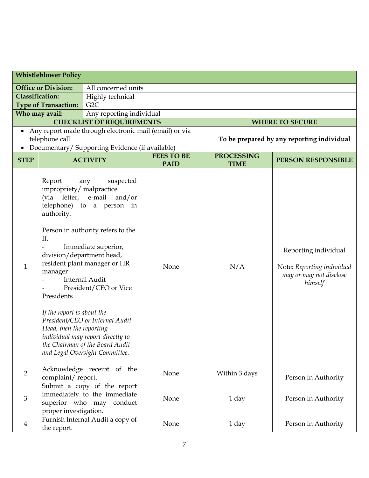| <b>Whistleblower Policy</b>                       |                                                                                                                                            |                                                                                                                                                                                                                                                                                                                                                                                                     |                                  |                                  |                                                                                          |
|---------------------------------------------------|--------------------------------------------------------------------------------------------------------------------------------------------|-----------------------------------------------------------------------------------------------------------------------------------------------------------------------------------------------------------------------------------------------------------------------------------------------------------------------------------------------------------------------------------------------------|----------------------------------|----------------------------------|------------------------------------------------------------------------------------------|
| <b>Office or Division:</b><br>All concerned units |                                                                                                                                            |                                                                                                                                                                                                                                                                                                                                                                                                     |                                  |                                  |                                                                                          |
| <b>Classification:</b><br>Highly technical        |                                                                                                                                            |                                                                                                                                                                                                                                                                                                                                                                                                     |                                  |                                  |                                                                                          |
|                                                   | <b>Type of Transaction:</b>                                                                                                                | G <sub>2</sub> C                                                                                                                                                                                                                                                                                                                                                                                    |                                  |                                  |                                                                                          |
|                                                   | Who may avail:                                                                                                                             | Any reporting individual                                                                                                                                                                                                                                                                                                                                                                            |                                  |                                  |                                                                                          |
|                                                   |                                                                                                                                            | <b>CHECKLIST OF REQUIREMENTS</b>                                                                                                                                                                                                                                                                                                                                                                    |                                  |                                  | <b>WHERE TO SECURE</b>                                                                   |
|                                                   |                                                                                                                                            | Any report made through electronic mail (email) or via                                                                                                                                                                                                                                                                                                                                              |                                  |                                  |                                                                                          |
|                                                   | telephone call                                                                                                                             |                                                                                                                                                                                                                                                                                                                                                                                                     |                                  |                                  | To be prepared by any reporting individual                                               |
|                                                   |                                                                                                                                            | Documentary/ Supporting Evidence (if available)                                                                                                                                                                                                                                                                                                                                                     |                                  |                                  |                                                                                          |
| <b>STEP</b>                                       |                                                                                                                                            | <b>ACTIVITY</b>                                                                                                                                                                                                                                                                                                                                                                                     | <b>FEES TO BE</b><br><b>PAID</b> | <b>PROCESSING</b><br><b>TIME</b> | <b>PERSON RESPONSIBLE</b>                                                                |
| $\mathbf{1}$                                      | Report<br>impropriety/ malpractice<br>authority.<br>ff.<br>manager<br>Presidents<br>If the report is about the<br>Head, then the reporting | suspected<br>any<br>(via letter, e-mail and/or<br>telephone) to a person in<br>Person in authority refers to the<br>Immediate superior,<br>division/department head,<br>resident plant manager or HR<br><b>Internal Audit</b><br>President/CEO or Vice<br>President/CEO or Internal Audit<br>individual may report directly to<br>the Chairman of the Board Audit<br>and Legal Oversight Committee. | None                             | N/A                              | Reporting individual<br>Note: Reporting individual<br>may or may not disclose<br>himself |
| $\overline{2}$                                    | Acknowledge receipt of the<br>complaint/report.                                                                                            |                                                                                                                                                                                                                                                                                                                                                                                                     | None                             | Within 3 days                    | Person in Authority                                                                      |
| $\mathfrak{Z}$                                    | Submit a copy of the report<br>immediately to the immediate<br>superior who may conduct<br>proper investigation.                           |                                                                                                                                                                                                                                                                                                                                                                                                     | None                             | 1 day                            | Person in Authority                                                                      |
| $\overline{4}$                                    | the report.                                                                                                                                | Furnish Internal Audit a copy of                                                                                                                                                                                                                                                                                                                                                                    | None                             | 1 day                            | Person in Authority                                                                      |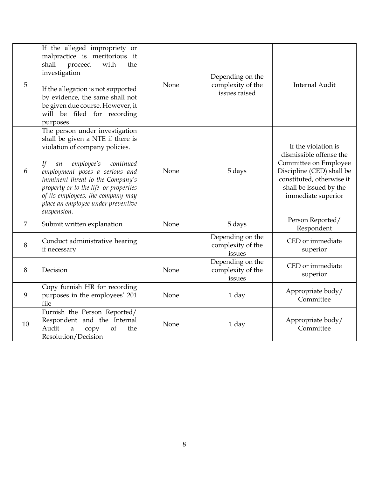| 5              | If the alleged impropriety or<br>malpractice is meritorious it<br>proceed<br>shall<br>with<br>the<br>investigation<br>If the allegation is not supported<br>by evidence, the same shall not<br>be given due course. However, it<br>will be filed for recording<br>purposes.                                                                          | None | Depending on the<br>complexity of the<br>issues raised | <b>Internal Audit</b>                                                                                                                                                             |
|----------------|------------------------------------------------------------------------------------------------------------------------------------------------------------------------------------------------------------------------------------------------------------------------------------------------------------------------------------------------------|------|--------------------------------------------------------|-----------------------------------------------------------------------------------------------------------------------------------------------------------------------------------|
| 6              | The person under investigation<br>shall be given a NTE if there is<br>violation of company policies.<br>employee's<br>continued<br>If<br>an<br>employment poses a serious and<br>imminent threat to the Company's<br>property or to the life or properties<br>of its employees, the company may<br>place an employee under preventive<br>suspension. | None | 5 days                                                 | If the violation is<br>dismissible offense the<br>Committee on Employee<br>Discipline (CED) shall be<br>constituted, otherwise it<br>shall be issued by the<br>immediate superior |
| $\overline{7}$ | Submit written explanation                                                                                                                                                                                                                                                                                                                           | None | 5 days                                                 | Person Reported/<br>Respondent                                                                                                                                                    |
| 8              | Conduct administrative hearing<br>if necessary                                                                                                                                                                                                                                                                                                       |      | Depending on the<br>complexity of the<br>issues        | CED or immediate<br>superior                                                                                                                                                      |
| 8              | Decision                                                                                                                                                                                                                                                                                                                                             | None | Depending on the<br>complexity of the<br>issues        | CED or immediate<br>superior                                                                                                                                                      |
| 9              | Copy furnish HR for recording<br>purposes in the employees' 201<br>file                                                                                                                                                                                                                                                                              | None | 1 day                                                  | Appropriate body/<br>Committee                                                                                                                                                    |
| 10             | Furnish the Person Reported/<br>Respondent and the Internal<br>Audit<br>of<br>a<br>copy<br>the<br>Resolution/Decision                                                                                                                                                                                                                                | None | 1 day                                                  | Appropriate body/<br>Committee                                                                                                                                                    |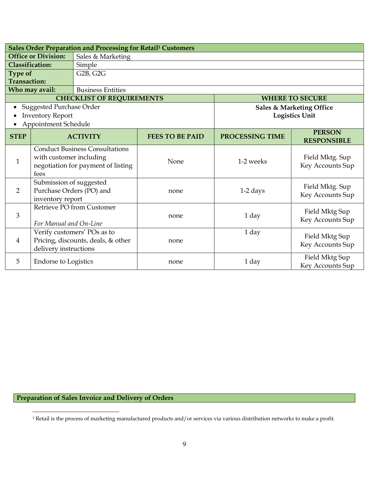|                                                 | Sales Order Preparation and Processing for Retail <sup>1</sup> Customers |                                       |                        |                 |                                     |  |
|-------------------------------------------------|--------------------------------------------------------------------------|---------------------------------------|------------------------|-----------------|-------------------------------------|--|
| <b>Office or Division:</b><br>Sales & Marketing |                                                                          |                                       |                        |                 |                                     |  |
| <b>Classification:</b>                          |                                                                          | Simple                                |                        |                 |                                     |  |
| <b>Type of</b>                                  |                                                                          | G <sub>2</sub> B, G <sub>2G</sub>     |                        |                 |                                     |  |
| <b>Transaction:</b>                             |                                                                          |                                       |                        |                 |                                     |  |
|                                                 | Who may avail:                                                           | <b>Business Entities</b>              |                        |                 |                                     |  |
|                                                 |                                                                          | <b>CHECKLIST OF REQUIREMENTS</b>      |                        |                 | <b>WHERE TO SECURE</b>              |  |
|                                                 | <b>Suggested Purchase Order</b>                                          |                                       |                        |                 | <b>Sales &amp; Marketing Office</b> |  |
|                                                 | <b>Inventory Report</b>                                                  |                                       |                        |                 | <b>Logistics Unit</b>               |  |
|                                                 | Appointment Schedule                                                     |                                       |                        |                 |                                     |  |
| <b>STEP</b>                                     |                                                                          | <b>ACTIVITY</b>                       | <b>FEES TO BE PAID</b> | PROCESSING TIME | <b>PERSON</b><br><b>RESPONSIBLE</b> |  |
|                                                 |                                                                          | <b>Conduct Business Consultations</b> |                        |                 |                                     |  |
|                                                 | with customer including                                                  |                                       |                        |                 | Field Mktg. Sup                     |  |
| $\mathbf{1}$                                    |                                                                          | negotiation for payment of listing    | None                   | 1-2 weeks       | Key Accounts Sup                    |  |
|                                                 | fees                                                                     |                                       |                        |                 |                                     |  |
|                                                 | Submission of suggested                                                  |                                       |                        |                 |                                     |  |
| 2                                               | Purchase Orders (PO) and                                                 |                                       | none                   | $1-2$ days      | Field Mktg. Sup                     |  |
|                                                 | inventory report                                                         |                                       |                        |                 | Key Accounts Sup                    |  |
|                                                 |                                                                          | Retrieve PO from Customer             |                        |                 | Field Mktg Sup                      |  |
| 3                                               |                                                                          |                                       | none                   | 1 day           | Key Accounts Sup                    |  |
|                                                 | For Manual and On-Line                                                   |                                       |                        |                 |                                     |  |
|                                                 |                                                                          | Verify customers' POs as to           |                        | 1 day           | Field Mktg Sup                      |  |
| 4                                               |                                                                          | Pricing, discounts, deals, & other    | none                   |                 | Key Accounts Sup                    |  |
|                                                 | delivery instructions                                                    |                                       |                        |                 |                                     |  |
| 5                                               | <b>Endorse to Logistics</b>                                              |                                       | none                   | 1 day           | Field Mktg Sup                      |  |
|                                                 |                                                                          |                                       |                        |                 | Key Accounts Sup                    |  |

**Preparation of Sales Invoice and Delivery of Orders**

<sup>1</sup> Retail is the process of marketing manufactured products and/or services via various distribution networks to make a profit.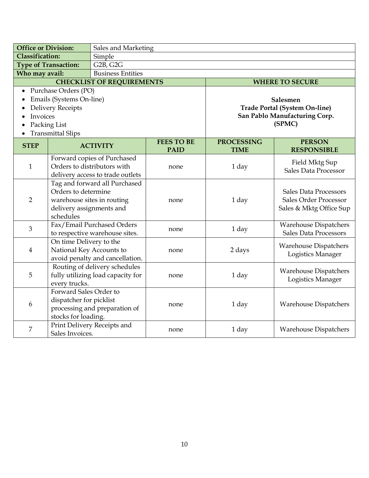| <b>Office or Division:</b>       |                                       | Sales and Marketing               |                   |                   |                                      |  |  |
|----------------------------------|---------------------------------------|-----------------------------------|-------------------|-------------------|--------------------------------------|--|--|
| <b>Classification:</b>           |                                       | Simple                            |                   |                   |                                      |  |  |
| <b>Type of Transaction:</b>      |                                       | G <sub>2</sub> B, G <sub>2G</sub> |                   |                   |                                      |  |  |
| Who may avail:                   |                                       | <b>Business Entities</b>          |                   |                   |                                      |  |  |
|                                  |                                       | <b>CHECKLIST OF REQUIREMENTS</b>  |                   |                   | <b>WHERE TO SECURE</b>               |  |  |
|                                  | Purchase Orders (PO)                  |                                   |                   |                   |                                      |  |  |
|                                  | Emails (Systems On-line)              |                                   |                   |                   | Salesmen                             |  |  |
|                                  | <b>Delivery Receipts</b>              |                                   |                   |                   | <b>Trade Portal (System On-line)</b> |  |  |
| Invoices                         |                                       |                                   |                   |                   | San Pablo Manufacturing Corp.        |  |  |
|                                  | Packing List                          |                                   |                   |                   | (SPMC)                               |  |  |
|                                  | <b>Transmittal Slips</b>              |                                   |                   |                   |                                      |  |  |
| <b>STEP</b>                      |                                       | <b>ACTIVITY</b>                   | <b>FEES TO BE</b> | <b>PROCESSING</b> | <b>PERSON</b>                        |  |  |
|                                  |                                       |                                   | <b>PAID</b>       | <b>TIME</b>       | <b>RESPONSIBLE</b>                   |  |  |
|                                  |                                       | Forward copies of Purchased       |                   |                   | Field Mktg Sup                       |  |  |
| $\mathbf{1}$                     |                                       | Orders to distributors with       | none              | 1 day             | Sales Data Processor                 |  |  |
| delivery access to trade outlets |                                       |                                   |                   |                   |                                      |  |  |
|                                  | Orders to determine                   | Tag and forward all Purchased     |                   | 1 day             | <b>Sales Data Processors</b>         |  |  |
| $\overline{2}$                   | warehouse sites in routing            |                                   |                   |                   | Sales Order Processor                |  |  |
|                                  |                                       |                                   | none              |                   | Sales & Mktg Office Sup              |  |  |
|                                  | delivery assignments and<br>schedules |                                   |                   |                   |                                      |  |  |
|                                  |                                       | Fax/Email Purchased Orders        |                   |                   | <b>Warehouse Dispatchers</b>         |  |  |
| $\mathfrak{Z}$                   |                                       | to respective warehouse sites.    | none              | 1 day             | <b>Sales Data Processors</b>         |  |  |
|                                  | On time Delivery to the               |                                   |                   |                   |                                      |  |  |
| $\overline{4}$                   | National Key Accounts to              |                                   | none              | 2 days            | <b>Warehouse Dispatchers</b>         |  |  |
|                                  |                                       | avoid penalty and cancellation.   |                   |                   | Logistics Manager                    |  |  |
|                                  |                                       | Routing of delivery schedules     |                   |                   |                                      |  |  |
| 5                                |                                       | fully utilizing load capacity for | none              | 1 day             | <b>Warehouse Dispatchers</b>         |  |  |
|                                  | every trucks.                         |                                   |                   |                   | Logistics Manager                    |  |  |
|                                  | Forward Sales Order to                |                                   |                   |                   |                                      |  |  |
|                                  | dispatcher for picklist               |                                   |                   | 1 day             | <b>Warehouse Dispatchers</b>         |  |  |
| 6                                |                                       | processing and preparation of     | none              |                   |                                      |  |  |
|                                  | stocks for loading.                   |                                   |                   |                   |                                      |  |  |
| 7                                |                                       | Print Delivery Receipts and       |                   | 1 day             | <b>Warehouse Dispatchers</b>         |  |  |
|                                  | Sales Invoices.                       |                                   | none              |                   |                                      |  |  |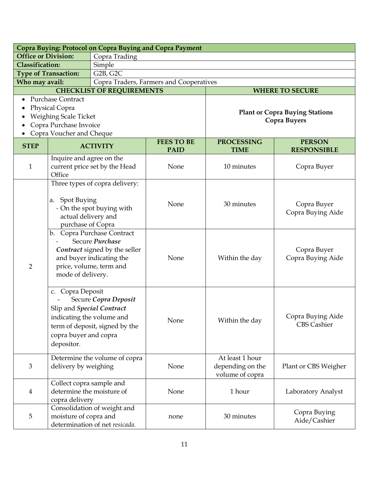| Copra Buying: Protocol on Copra Buying and Copra Payment |                                                                                                                                                                                                                 |                                    |                                         |                                  |                                       |  |  |
|----------------------------------------------------------|-----------------------------------------------------------------------------------------------------------------------------------------------------------------------------------------------------------------|------------------------------------|-----------------------------------------|----------------------------------|---------------------------------------|--|--|
| <b>Office or Division:</b>                               |                                                                                                                                                                                                                 | Copra Trading                      |                                         |                                  |                                       |  |  |
| <b>Classification:</b>                                   |                                                                                                                                                                                                                 | Simple                             |                                         |                                  |                                       |  |  |
|                                                          | <b>Type of Transaction:</b>                                                                                                                                                                                     | G <sub>2</sub> B, G <sub>2</sub> C |                                         |                                  |                                       |  |  |
| Who may avail:                                           |                                                                                                                                                                                                                 |                                    | Copra Traders, Farmers and Cooperatives |                                  |                                       |  |  |
|                                                          |                                                                                                                                                                                                                 | <b>CHECKLIST OF REQUIREMENTS</b>   |                                         |                                  | <b>WHERE TO SECURE</b>                |  |  |
|                                                          | <b>Purchase Contract</b>                                                                                                                                                                                        |                                    |                                         |                                  |                                       |  |  |
|                                                          | Physical Copra                                                                                                                                                                                                  |                                    |                                         |                                  | <b>Plant or Copra Buying Stations</b> |  |  |
|                                                          | Weighing Scale Ticket                                                                                                                                                                                           |                                    |                                         |                                  | <b>Copra Buyers</b>                   |  |  |
|                                                          | Copra Purchase Invoice                                                                                                                                                                                          |                                    |                                         |                                  |                                       |  |  |
|                                                          | Copra Voucher and Cheque                                                                                                                                                                                        |                                    | <b>FEES TO BE</b>                       |                                  |                                       |  |  |
| <b>STEP</b>                                              |                                                                                                                                                                                                                 | <b>ACTIVITY</b>                    | <b>PAID</b>                             | <b>PROCESSING</b><br><b>TIME</b> | <b>PERSON</b><br><b>RESPONSIBLE</b>   |  |  |
|                                                          | Inquire and agree on the                                                                                                                                                                                        |                                    |                                         |                                  |                                       |  |  |
| $\mathbf{1}$                                             |                                                                                                                                                                                                                 | current price set by the Head      | None                                    | 10 minutes                       | Copra Buyer                           |  |  |
|                                                          | Office                                                                                                                                                                                                          |                                    |                                         |                                  |                                       |  |  |
|                                                          |                                                                                                                                                                                                                 | Three types of copra delivery:     |                                         |                                  |                                       |  |  |
|                                                          |                                                                                                                                                                                                                 |                                    |                                         |                                  |                                       |  |  |
|                                                          | <b>Spot Buying</b><br>a.<br>- On the spot buying with<br>actual delivery and<br>purchase of Copra<br>b. Copra Purchase Contract<br>Secure Purchase<br>Contract signed by the seller<br>and buyer indicating the |                                    | None                                    | 30 minutes                       | Copra Buyer<br>Copra Buying Aide      |  |  |
|                                                          |                                                                                                                                                                                                                 |                                    |                                         |                                  |                                       |  |  |
|                                                          |                                                                                                                                                                                                                 |                                    |                                         |                                  |                                       |  |  |
|                                                          |                                                                                                                                                                                                                 |                                    |                                         |                                  |                                       |  |  |
|                                                          |                                                                                                                                                                                                                 |                                    |                                         |                                  |                                       |  |  |
|                                                          |                                                                                                                                                                                                                 |                                    | None                                    | Within the day                   | Copra Buyer<br>Copra Buying Aide      |  |  |
|                                                          |                                                                                                                                                                                                                 |                                    |                                         |                                  |                                       |  |  |
| $\overline{2}$                                           |                                                                                                                                                                                                                 | price, volume, term and            |                                         |                                  |                                       |  |  |
|                                                          | mode of delivery.                                                                                                                                                                                               |                                    |                                         |                                  |                                       |  |  |
|                                                          |                                                                                                                                                                                                                 |                                    |                                         |                                  |                                       |  |  |
|                                                          | c. Copra Deposit<br>Secure Copra Deposit<br>Slip and Special Contract                                                                                                                                           |                                    |                                         |                                  |                                       |  |  |
|                                                          |                                                                                                                                                                                                                 |                                    |                                         |                                  |                                       |  |  |
|                                                          |                                                                                                                                                                                                                 |                                    |                                         |                                  |                                       |  |  |
|                                                          | indicating the volume and                                                                                                                                                                                       |                                    | None                                    | Within the day                   | Copra Buying Aide                     |  |  |
|                                                          |                                                                                                                                                                                                                 | term of deposit, signed by the     |                                         |                                  | <b>CBS Cashier</b>                    |  |  |
|                                                          | copra buyer and copra                                                                                                                                                                                           |                                    |                                         |                                  |                                       |  |  |
|                                                          | depositor.                                                                                                                                                                                                      |                                    |                                         |                                  |                                       |  |  |
|                                                          |                                                                                                                                                                                                                 | Determine the volume of copra      |                                         | At least 1 hour                  |                                       |  |  |
| $\mathfrak{Z}$                                           | delivery by weighing                                                                                                                                                                                            |                                    | None                                    | depending on the                 | Plant or CBS Weigher                  |  |  |
|                                                          |                                                                                                                                                                                                                 |                                    |                                         | volume of copra                  |                                       |  |  |
|                                                          | Collect copra sample and                                                                                                                                                                                        |                                    |                                         |                                  |                                       |  |  |
| $\overline{4}$                                           | determine the moisture of                                                                                                                                                                                       |                                    | None                                    | 1 hour                           | Laboratory Analyst                    |  |  |
|                                                          | copra delivery                                                                                                                                                                                                  |                                    |                                         |                                  |                                       |  |  |
|                                                          |                                                                                                                                                                                                                 | Consolidation of weight and        |                                         |                                  | Copra Buying                          |  |  |
| 5                                                        | moisture of copra and                                                                                                                                                                                           |                                    | none                                    | 30 minutes                       | Aide/Cashier                          |  |  |
|                                                          | determination of net resicada.                                                                                                                                                                                  |                                    |                                         |                                  |                                       |  |  |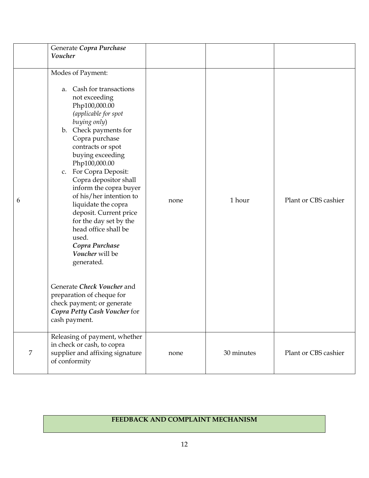|   | Generate Copra Purchase<br>Voucher                                                                                                                                                                                                                                                                                                                                                                                                                                                                                                                                                                                                              |      |            |                      |
|---|-------------------------------------------------------------------------------------------------------------------------------------------------------------------------------------------------------------------------------------------------------------------------------------------------------------------------------------------------------------------------------------------------------------------------------------------------------------------------------------------------------------------------------------------------------------------------------------------------------------------------------------------------|------|------------|----------------------|
| 6 | Modes of Payment:<br>Cash for transactions<br>a.<br>not exceeding<br>Php100,000.00<br>(applicable for spot<br>buying only)<br>b. Check payments for<br>Copra purchase<br>contracts or spot<br>buying exceeding<br>Php100,000.00<br>c. For Copra Deposit:<br>Copra depositor shall<br>inform the copra buyer<br>of his/her intention to<br>liquidate the copra<br>deposit. Current price<br>for the day set by the<br>head office shall be<br>used.<br>Copra Purchase<br>Voucher will be<br>generated.<br>Generate Check Voucher and<br>preparation of cheque for<br>check payment; or generate<br>Copra Petty Cash Voucher for<br>cash payment. | none | 1 hour     | Plant or CBS cashier |
| 7 | Releasing of payment, whether<br>in check or cash, to copra<br>supplier and affixing signature<br>of conformity                                                                                                                                                                                                                                                                                                                                                                                                                                                                                                                                 | none | 30 minutes | Plant or CBS cashier |

# **FEEDBACK AND COMPLAINT MECHANISM**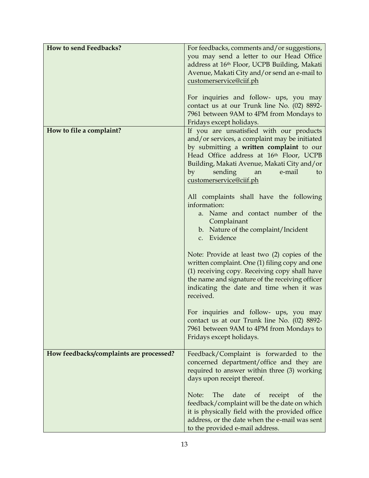| How to send Feedbacks?                  | For feedbacks, comments and/or suggestions,<br>you may send a letter to our Head Office<br>address at 16th Floor, UCPB Building, Makati<br>Avenue, Makati City and/or send an e-mail to<br>customerservice@ciif.ph<br>For inquiries and follow- ups, you may<br>contact us at our Trunk line No. (02) 8892-<br>7961 between 9AM to 4PM from Mondays to<br>Fridays except holidays. |
|-----------------------------------------|------------------------------------------------------------------------------------------------------------------------------------------------------------------------------------------------------------------------------------------------------------------------------------------------------------------------------------------------------------------------------------|
| How to file a complaint?                | If you are unsatisfied with our products<br>and/or services, a complaint may be initiated<br>by submitting a written complaint to our<br>Head Office address at 16th Floor, UCPB<br>Building, Makati Avenue, Makati City and/or<br>by<br>sending<br>e-mail<br>an<br>to<br>customerservice@ciif.ph                                                                                  |
|                                         | All complaints shall have the following<br>information:<br>a. Name and contact number of the<br>Complainant<br>b. Nature of the complaint/Incident<br>c. Evidence                                                                                                                                                                                                                  |
|                                         | Note: Provide at least two (2) copies of the<br>written complaint. One (1) filing copy and one<br>(1) receiving copy. Receiving copy shall have<br>the name and signature of the receiving officer<br>indicating the date and time when it was<br>received.                                                                                                                        |
|                                         | For inquiries and follow- ups, you may<br>contact us at our Trunk line No. (02) 8892-<br>7961 between 9AM to 4PM from Mondays to<br>Fridays except holidays.                                                                                                                                                                                                                       |
| How feedbacks/complaints are processed? | Feedback/Complaint is forwarded to the<br>concerned department/office and they are<br>required to answer within three (3) working<br>days upon receipt thereof.                                                                                                                                                                                                                    |
|                                         | The<br>Note:<br>date<br>of<br>receipt<br>the<br>of<br>feedback/complaint will be the date on which<br>it is physically field with the provided office<br>address, or the date when the e-mail was sent<br>to the provided e-mail address.                                                                                                                                          |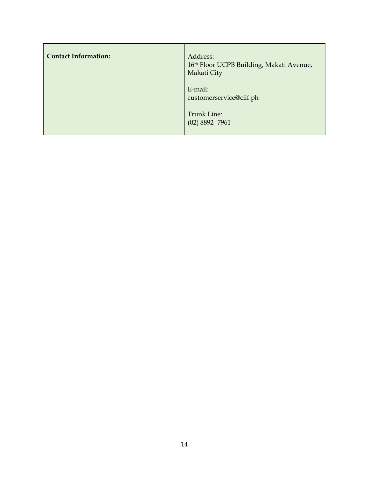| <b>Contact Information:</b> | Address:<br>16th Floor UCPB Building, Makati Avenue,<br>Makati City |
|-----------------------------|---------------------------------------------------------------------|
|                             | E-mail:<br>customerservice@ciif.ph                                  |
|                             | <b>Trunk Line:</b><br>$(02)$ 8892-7961                              |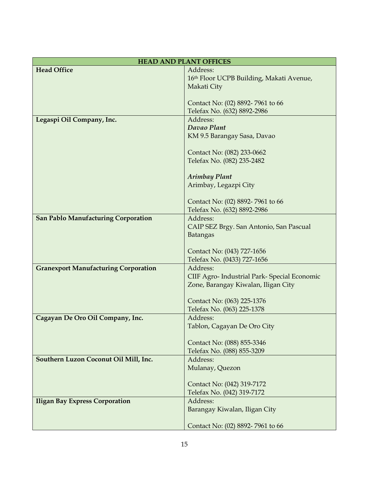|                                             | <b>HEAD AND PLANT OFFICES</b>                |  |  |  |
|---------------------------------------------|----------------------------------------------|--|--|--|
| <b>Head Office</b>                          | Address:                                     |  |  |  |
|                                             | 16th Floor UCPB Building, Makati Avenue,     |  |  |  |
|                                             | Makati City                                  |  |  |  |
|                                             |                                              |  |  |  |
|                                             | Contact No: (02) 8892-7961 to 66             |  |  |  |
|                                             | Telefax No. (632) 8892-2986                  |  |  |  |
| Legaspi Oil Company, Inc.                   | Address:<br>Davao Plant                      |  |  |  |
|                                             | KM 9.5 Barangay Sasa, Davao                  |  |  |  |
|                                             |                                              |  |  |  |
|                                             | Contact No: (082) 233-0662                   |  |  |  |
|                                             | Telefax No. (082) 235-2482                   |  |  |  |
|                                             |                                              |  |  |  |
|                                             | <b>Arimbay Plant</b>                         |  |  |  |
|                                             | Arimbay, Legazpi City                        |  |  |  |
|                                             |                                              |  |  |  |
|                                             | Contact No: (02) 8892-7961 to 66             |  |  |  |
|                                             | Telefax No. (632) 8892-2986                  |  |  |  |
| <b>San Pablo Manufacturing Corporation</b>  | Address:                                     |  |  |  |
|                                             | CAIP SEZ Brgy. San Antonio, San Pascual      |  |  |  |
|                                             | <b>Batangas</b>                              |  |  |  |
|                                             |                                              |  |  |  |
|                                             | Contact No: (043) 727-1656                   |  |  |  |
|                                             | Telefax No. (0433) 727-1656                  |  |  |  |
| <b>Granexport Manufacturing Corporation</b> | Address:                                     |  |  |  |
|                                             | CIIF Agro- Industrial Park- Special Economic |  |  |  |
|                                             | Zone, Barangay Kiwalan, Iligan City          |  |  |  |
|                                             | Contact No: (063) 225-1376                   |  |  |  |
|                                             | Telefax No. (063) 225-1378                   |  |  |  |
| Cagayan De Oro Oil Company, Inc.            | Address:                                     |  |  |  |
|                                             | Tablon, Cagayan De Oro City                  |  |  |  |
|                                             |                                              |  |  |  |
|                                             | Contact No: (088) 855-3346                   |  |  |  |
|                                             | Telefax No. (088) 855-3209                   |  |  |  |
| Southern Luzon Coconut Oil Mill, Inc.       | Address:                                     |  |  |  |
|                                             | Mulanay, Quezon                              |  |  |  |
|                                             |                                              |  |  |  |
|                                             | Contact No: (042) 319-7172                   |  |  |  |
|                                             | Telefax No. (042) 319-7172                   |  |  |  |
| <b>Iligan Bay Express Corporation</b>       | Address:                                     |  |  |  |
|                                             | Barangay Kiwalan, Iligan City                |  |  |  |
|                                             |                                              |  |  |  |
|                                             | Contact No: (02) 8892-7961 to 66             |  |  |  |